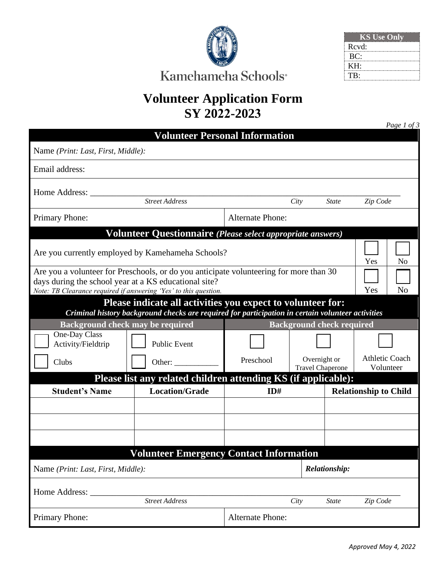

| <b>KS</b> Use Only |  |
|--------------------|--|
| Rcvd:              |  |
| BC:                |  |
| KH:                |  |
| TB:                |  |

# **Volunteer Application Form SY 2022-2023**

|                                                                                                                                                                                                                            |                                                                             |                         |                                         |                              | Page 1 of 3                        |  |  |  |
|----------------------------------------------------------------------------------------------------------------------------------------------------------------------------------------------------------------------------|-----------------------------------------------------------------------------|-------------------------|-----------------------------------------|------------------------------|------------------------------------|--|--|--|
|                                                                                                                                                                                                                            | <b>Volunteer Personal Information</b>                                       |                         |                                         |                              |                                    |  |  |  |
| Name (Print: Last, First, Middle):                                                                                                                                                                                         |                                                                             |                         |                                         |                              |                                    |  |  |  |
| Email address:                                                                                                                                                                                                             |                                                                             |                         |                                         |                              |                                    |  |  |  |
| Home Address:                                                                                                                                                                                                              |                                                                             |                         |                                         |                              |                                    |  |  |  |
|                                                                                                                                                                                                                            | <b>Street Address</b>                                                       |                         | City                                    | <b>State</b>                 | Zip Code                           |  |  |  |
| <b>Primary Phone:</b>                                                                                                                                                                                                      |                                                                             | <b>Alternate Phone:</b> |                                         |                              |                                    |  |  |  |
| Volunteer Questionnaire (Please select appropriate answers)                                                                                                                                                                |                                                                             |                         |                                         |                              |                                    |  |  |  |
| Are you currently employed by Kamehameha Schools?<br>N <sub>o</sub><br>Yes                                                                                                                                                 |                                                                             |                         |                                         |                              |                                    |  |  |  |
| Are you a volunteer for Preschools, or do you anticipate volunteering for more than 30<br>days during the school year at a KS educational site?<br>Yes<br>Note: TB Clearance required if answering 'Yes' to this question. |                                                                             |                         |                                         |                              | N <sub>o</sub>                     |  |  |  |
| Please indicate all activities you expect to volunteer for:<br>Criminal history background checks are required for participation in certain volunteer activities                                                           |                                                                             |                         |                                         |                              |                                    |  |  |  |
|                                                                                                                                                                                                                            | <b>Background check may be required</b><br><b>Background check required</b> |                         |                                         |                              |                                    |  |  |  |
| One-Day Class<br>Activity/Fieldtrip                                                                                                                                                                                        | <b>Public Event</b>                                                         |                         |                                         |                              |                                    |  |  |  |
| Clubs                                                                                                                                                                                                                      | Other: $\qquad \qquad$                                                      | Preschool               | Overnight or<br><b>Travel Chaperone</b> |                              | <b>Athletic Coach</b><br>Volunteer |  |  |  |
|                                                                                                                                                                                                                            | Please list any related children attending KS (if applicable):              |                         |                                         |                              |                                    |  |  |  |
| <b>Student's Name</b>                                                                                                                                                                                                      | <b>Location/Grade</b>                                                       | ID#                     |                                         | <b>Relationship to Child</b> |                                    |  |  |  |
|                                                                                                                                                                                                                            |                                                                             |                         |                                         |                              |                                    |  |  |  |
|                                                                                                                                                                                                                            |                                                                             |                         |                                         |                              |                                    |  |  |  |
|                                                                                                                                                                                                                            |                                                                             |                         |                                         |                              |                                    |  |  |  |
|                                                                                                                                                                                                                            | <b>Volunteer Emergency Contact Information</b>                              |                         |                                         |                              |                                    |  |  |  |
| Name (Print: Last, First, Middle):                                                                                                                                                                                         |                                                                             |                         |                                         | <b>Relationship:</b>         |                                    |  |  |  |
| Home Address:                                                                                                                                                                                                              |                                                                             |                         |                                         |                              |                                    |  |  |  |
|                                                                                                                                                                                                                            | <b>Street Address</b>                                                       |                         | City                                    | <b>State</b>                 | Zip Code                           |  |  |  |
| <b>Primary Phone:</b>                                                                                                                                                                                                      |                                                                             | <b>Alternate Phone:</b> |                                         |                              |                                    |  |  |  |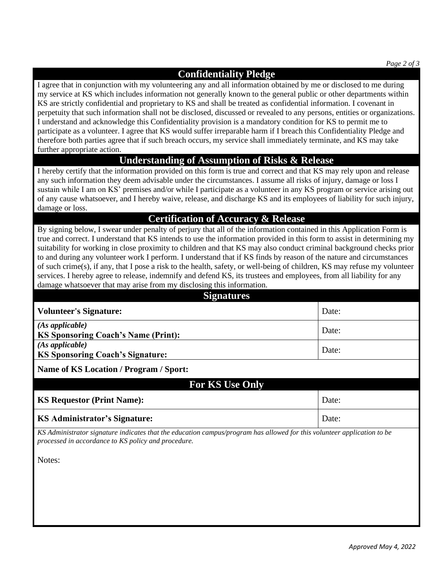*Page 2 of 3*

## **Confidentiality Pledge**

I agree that in conjunction with my volunteering any and all information obtained by me or disclosed to me during my service at KS which includes information not generally known to the general public or other departments within KS are strictly confidential and proprietary to KS and shall be treated as confidential information. I covenant in perpetuity that such information shall not be disclosed, discussed or revealed to any persons, entities or organizations. I understand and acknowledge this Confidentiality provision is a mandatory condition for KS to permit me to participate as a volunteer. I agree that KS would suffer irreparable harm if I breach this Confidentiality Pledge and therefore both parties agree that if such breach occurs, my service shall immediately terminate, and KS may take further appropriate action.

#### **Understanding of Assumption of Risks & Release**

I hereby certify that the information provided on this form is true and correct and that KS may rely upon and release any such information they deem advisable under the circumstances. I assume all risks of injury, damage or loss I sustain while I am on KS' premises and/or while I participate as a volunteer in any KS program or service arising out of any cause whatsoever, and I hereby waive, release, and discharge KS and its employees of liability for such injury, damage or loss.

#### **Certification of Accuracy & Release**

By signing below, I swear under penalty of perjury that all of the information contained in this Application Form is true and correct. I understand that KS intends to use the information provided in this form to assist in determining my suitability for working in close proximity to children and that KS may also conduct criminal background checks prior to and during any volunteer work I perform. I understand that if KS finds by reason of the nature and circumstances of such crime(s), if any, that I pose a risk to the health, safety, or well-being of children, KS may refuse my volunteer services. I hereby agree to release, indemnify and defend KS, its trustees and employees, from all liability for any damage whatsoever that may arise from my disclosing this information.

| <b>Signatures</b>                                                                                                                                                              |       |  |  |  |  |
|--------------------------------------------------------------------------------------------------------------------------------------------------------------------------------|-------|--|--|--|--|
| <b>Volunteer's Signature:</b>                                                                                                                                                  | Date: |  |  |  |  |
| (As applicable)<br><b>KS Sponsoring Coach's Name (Print):</b>                                                                                                                  | Date: |  |  |  |  |
| (As applicable)<br><b>KS Sponsoring Coach's Signature:</b>                                                                                                                     | Date: |  |  |  |  |
| Name of KS Location / Program / Sport:                                                                                                                                         |       |  |  |  |  |
| <b>For KS Use Only</b>                                                                                                                                                         |       |  |  |  |  |
|                                                                                                                                                                                |       |  |  |  |  |
| <b>KS Requestor (Print Name):</b>                                                                                                                                              | Date: |  |  |  |  |
| <b>KS Administrator's Signature:</b>                                                                                                                                           | Date: |  |  |  |  |
| KS Administrator signature indicates that the education campus/program has allowed for this volunteer application to be<br>processed in accordance to KS policy and procedure. |       |  |  |  |  |
| Notes:                                                                                                                                                                         |       |  |  |  |  |
|                                                                                                                                                                                |       |  |  |  |  |